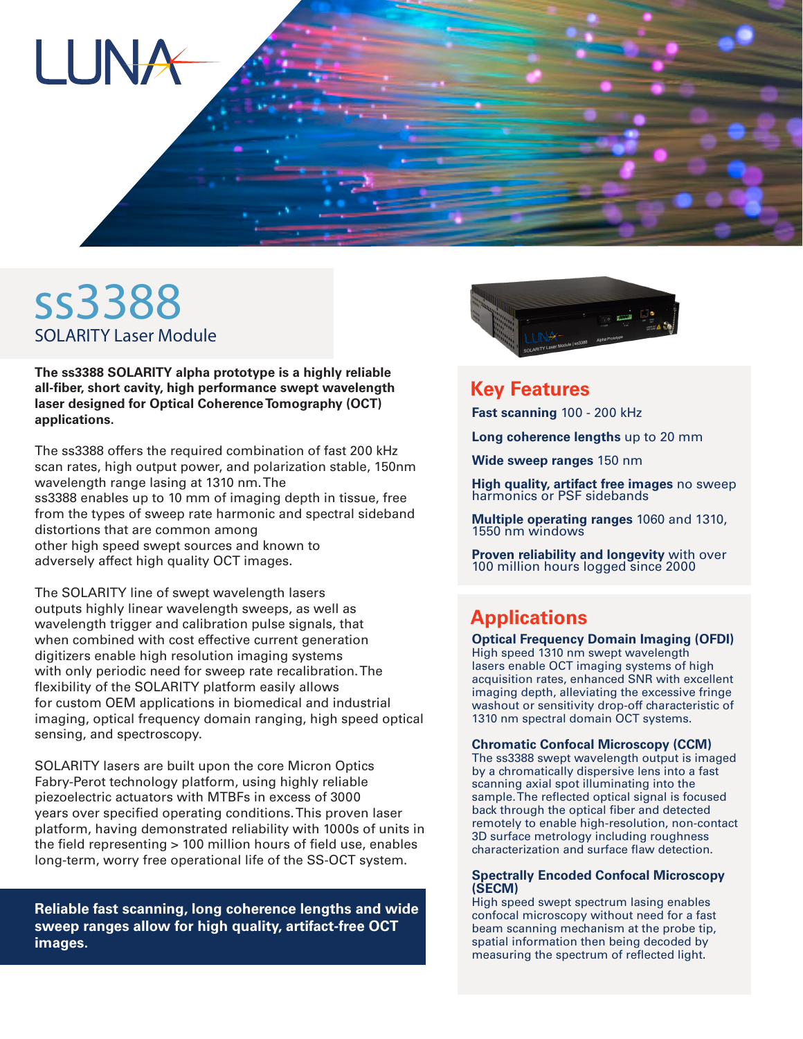

# ss3388 SOLARITY Laser Module

**The ss3388 SOLARITY alpha prototype is a highly reliable all-fiber, short cavity, high performance swept wavelength laser designed for Optical Coherence Tomography (OCT) applications.**

The ss3388 offers the required combination of fast 200 kHz scan rates, high output power, and polarization stable, 150nm wavelength range lasing at 1310 nm. The ss3388 enables up to 10 mm of imaging depth in tissue, free from the types of sweep rate harmonic and spectral sideband distortions that are common among other high speed swept sources and known to adversely affect high quality OCT images.

The SOLARITY line of swept wavelength lasers outputs highly linear wavelength sweeps, as well as wavelength trigger and calibration pulse signals, that when combined with cost effective current generation digitizers enable high resolution imaging systems with only periodic need for sweep rate recalibration. The flexibility of the SOLARITY platform easily allows for custom OEM applications in biomedical and industrial imaging, optical frequency domain ranging, high speed optical sensing, and spectroscopy.

SOLARITY lasers are built upon the core Micron Optics Fabry-Perot technology platform, using highly reliable piezoelectric actuators with MTBFs in excess of 3000 years over specified operating conditions. This proven laser platform, having demonstrated reliability with 1000s of units in the field representing > 100 million hours of field use, enables long-term, worry free operational life of the SS-OCT system.

**Reliable fast scanning, long coherence lengths and wide sweep ranges allow for high quality, artifact-free OCT images.**



### **Key Features**

**Fast scanning** 100 - 200 kHz

**Long coherence lengths** up to 20 mm

**Wide sweep ranges** 150 nm

**High quality, artifact free images** no sweep harmonics or PSF sidebands

**Multiple operating ranges** 1060 and 1310, 1550 nm windows

**Proven reliability and longevity** with over 100 million hours logged since 2000

## **Applications**

#### **Optical Frequency Domain Imaging (OFDI)**

High speed 1310 nm swept wavelength lasers enable OCT imaging systems of high acquisition rates, enhanced SNR with excellent imaging depth, alleviating the excessive fringe washout or sensitivity drop-off characteristic of 1310 nm spectral domain OCT systems.

#### **Chromatic Confocal Microscopy (CCM)**

The ss3388 swept wavelength output is imaged by a chromatically dispersive lens into a fast scanning axial spot illuminating into the sample. The reflected optical signal is focused back through the optical fiber and detected remotely to enable high-resolution, non-contact 3D surface metrology including roughness characterization and surface flaw detection.

#### **Spectrally Encoded Confocal Microscopy (SECM)**

High speed swept spectrum lasing enables confocal microscopy without need for a fast beam scanning mechanism at the probe tip, spatial information then being decoded by measuring the spectrum of reflected light.